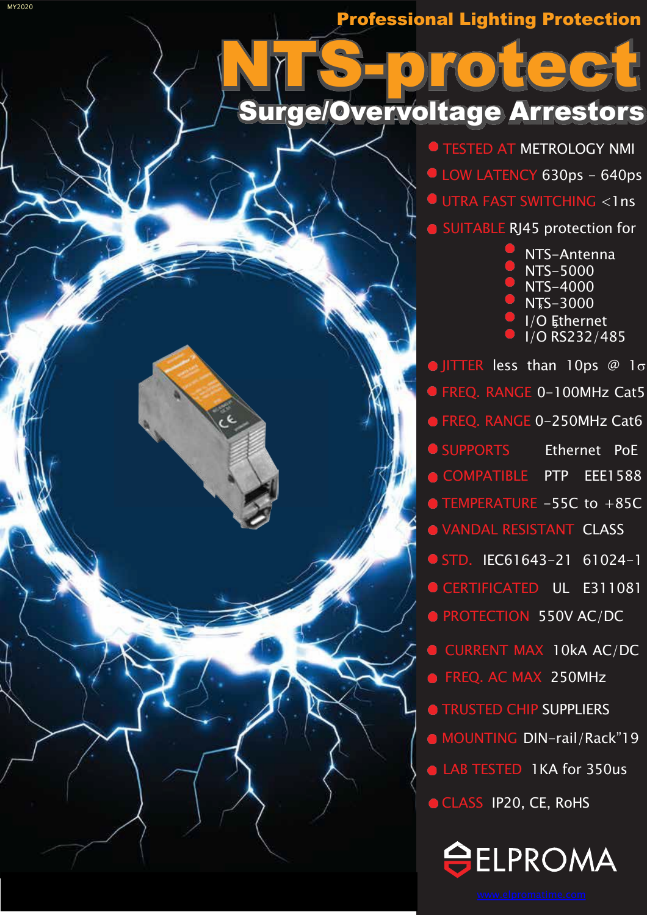# **Surge/Overvoltage Arrestors**

**O TESTED AT METROLOGY NMI** LOW LATENCY 630ps - 640ps UTRA FAST SWITCHING <1ns SUITABLE RJ45 protection for

> NTS-Antenna  $NTS-5000$  $NTS-4000$ **NTS-3000**  $\overline{1/O}$  Ethernet I/O RS232/485

OJITTER less than 10ps  $@$  1 $\sigma$ **OFREQ. RANGE 0-100MHz Cat5** ● FREQ. RANGE 0-250MHz Cat6 **OSUPPORTS** Ethernet PoE COMPATIBLE PTP EEE1588 **O TEMPERATURE -55C to +85C WANDAL RESISTANT CLASS** STD. IEC61643-21 61024-1 CERTIFICATED UL E311081 **O PROTECTION 550V AC/DC** CURRENT MAX 10kA AC/DC **O** FREO. AC MAX 250MHz **TRUSTED CHIP SUPPLIERS** • MOUNTING DIN-rail/Rack"19 LAB TESTED 1KA for 350us CLASS IP20, CE, RoHS